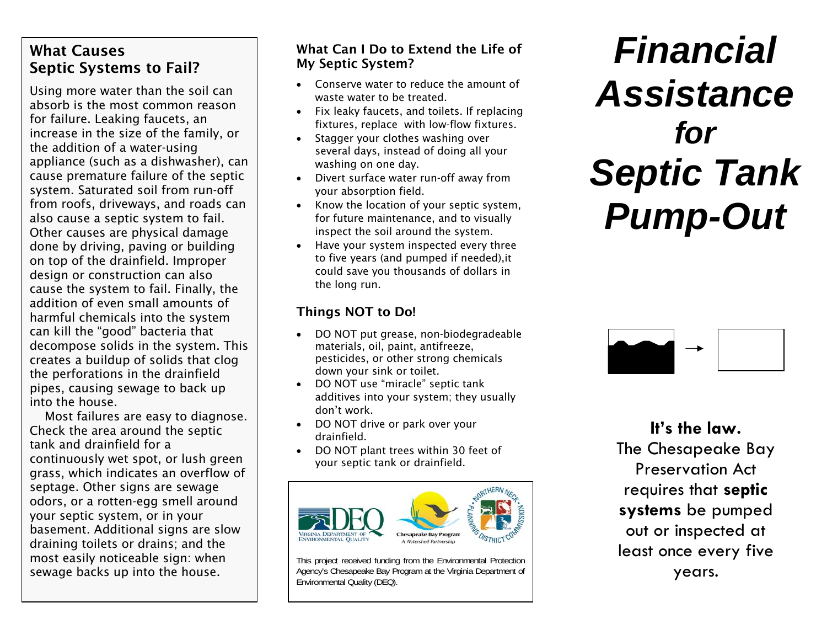### What Causes Septic Systems to Fail?

Using more water than the soil can absorb is the most common reason for failure. Leaking faucets, an increase in the size of the family, or the addition of a water-using appliance (such as a dishwasher), can cause premature failure of the septic system. Saturated soil from run-off from roofs, driveways, and roads can also cause a septic system to fail. Other causes are physical damage done by driving, paving or building on top of the drainfield. Improper design or construction can also cause the system to fail. Finally, the addition of even small amounts of harmful chemicals into the system can kill the "good" bacteria that decompose solids in the system. This creates a buildup of solids that clog the perforations in the drainfield pipes, causing sewage to back up into the house.

Most failures are easy to diagnose. Check the area around the septic tank and drainfield for a continuously wet spot, or lush green grass, which indicates an overflow of septage. Other signs are sewage odors, or a rotten-egg smell around your septic system, or in your basement. Additional signs are slow draining toilets or drains; and the most easily noticeable sign: when sewage backs up into the house.

### What Can I Do to Extend the Life of My Septic System?

- 0 Conserve water to reduce the amount of waste water to be treated.
- Fix leaky faucets, and toilets. If replacing fixtures, replace with low-flow fixtures.
- 0 Stagger your clothes washing over several days, instead of doing all your washing on one day.
- 0 Divert surface water run-off away from your absorption field.
- Know the location of your septic system, for future maintenance, and to visually inspect the soil around the system.
- 0 Have your system inspected every three to five years (and pumped if needed),it could save you thousands of dollars in the long run.

### Things NOT to Do!

- 0 DO NOT put grease, non-biodegradeable materials, oil, paint, antifreeze, pesticides, or other strong chemicals down your sink or toilet.
- DO NOT use "miracle" septic tank additives into your system; they usually don't work.
- DO NOT drive or park over your drainfield.
- e DO NOT plant trees within 30 feet of your septic tank or drainfield.



This project received funding from the Environmental Protection Agency's Chesapeake Bay Program at the Virginia Department of Environmental Quality (DEQ).

## *Financial Assistance for Septic Tank Pump-Out*



**It's the law.** The Chesapeake Bay Preservation Act requires that **septic systems** be pumped out or inspected at least once every five years.